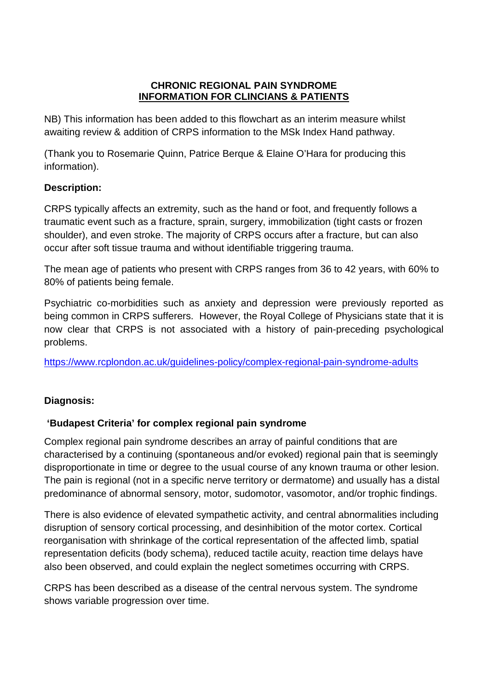#### **CHRONIC REGIONAL PAIN SYNDROME INFORMATION FOR CLINCIANS & PATIENTS**

NB) This information has been added to this flowchart as an interim measure whilst awaiting review & addition of CRPS information to the MSk Index Hand pathway.

(Thank you to Rosemarie Quinn, Patrice Berque & Elaine O'Hara for producing this information).

## **Description:**

CRPS typically affects an extremity, such as the hand or foot, and frequently follows a traumatic event such as a fracture, sprain, surgery, immobilization (tight casts or frozen shoulder), and even stroke. The majority of CRPS occurs after a fracture, but can also occur after soft tissue trauma and without identifiable triggering trauma.

The mean age of patients who present with CRPS ranges from 36 to 42 years, with 60% to 80% of patients being female.

Psychiatric co-morbidities such as anxiety and depression were previously reported as being common in CRPS sufferers. However, the Royal College of Physicians state that it is now clear that CRPS is not associated with a history of pain-preceding psychological problems.

<https://www.rcplondon.ac.uk/guidelines-policy/complex-regional-pain-syndrome-adults>

# **Diagnosis:**

# **'Budapest Criteria' for complex regional pain syndrome**

Complex regional pain syndrome describes an array of painful conditions that are characterised by a continuing (spontaneous and/or evoked) regional pain that is seemingly disproportionate in time or degree to the usual course of any known trauma or other lesion. The pain is regional (not in a specific nerve territory or dermatome) and usually has a distal predominance of abnormal sensory, motor, sudomotor, vasomotor, and/or trophic findings.

There is also evidence of elevated sympathetic activity, and central abnormalities including disruption of sensory cortical processing, and desinhibition of the motor cortex. Cortical reorganisation with shrinkage of the cortical representation of the affected limb, spatial representation deficits (body schema), reduced tactile acuity, reaction time delays have also been observed, and could explain the neglect sometimes occurring with CRPS.

CRPS has been described as a disease of the central nervous system. The syndrome shows variable progression over time.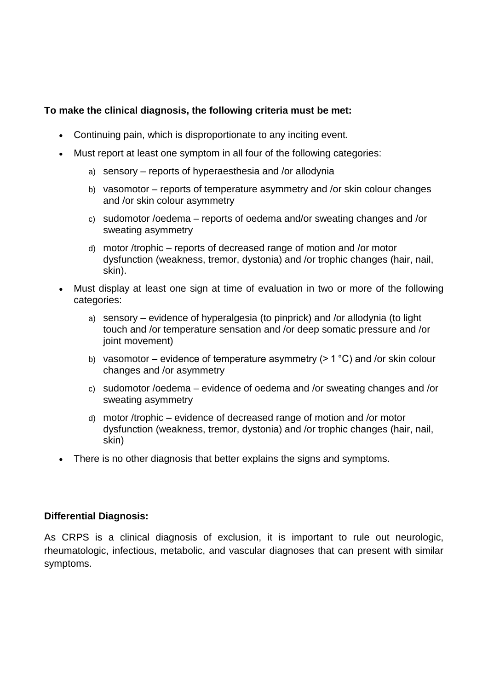## **To make the clinical diagnosis, the following criteria must be met:**

- Continuing pain, which is disproportionate to any inciting event.
- Must report at least one symptom in all four of the following categories:
	- a) sensory reports of hyperaesthesia and /or allodynia
	- b) vasomotor reports of temperature asymmetry and /or skin colour changes and /or skin colour asymmetry
	- c) sudomotor /oedema reports of oedema and/or sweating changes and /or sweating asymmetry
	- d) motor /trophic reports of decreased range of motion and /or motor dysfunction (weakness, tremor, dystonia) and /or trophic changes (hair, nail, skin).
- Must display at least one sign at time of evaluation in two or more of the following categories:
	- a) sensory evidence of hyperalgesia (to pinprick) and /or allodynia (to light touch and /or temperature sensation and /or deep somatic pressure and /or joint movement)
	- b) vasomotor evidence of temperature asymmetry  $(>1 °C)$  and /or skin colour changes and /or asymmetry
	- c) sudomotor /oedema evidence of oedema and /or sweating changes and /or sweating asymmetry
	- d) motor /trophic evidence of decreased range of motion and /or motor dysfunction (weakness, tremor, dystonia) and /or trophic changes (hair, nail, skin)
- There is no other diagnosis that better explains the signs and symptoms.

### **Differential Diagnosis:**

As CRPS is a clinical diagnosis of exclusion, it is important to rule out neurologic, rheumatologic, infectious, metabolic, and vascular diagnoses that can present with similar symptoms.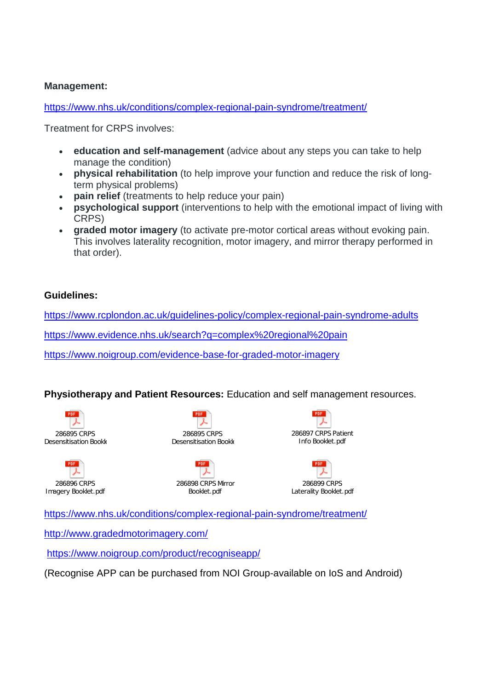#### **Management:**

<https://www.nhs.uk/conditions/complex-regional-pain-syndrome/treatment/>

Treatment for CRPS involves:

- **education and self-management** (advice about any steps you can take to help manage the condition)
- **physical rehabilitation** (to help improve your function and reduce the risk of longterm physical problems)
- **pain relief** (treatments to help reduce your pain)
- **psychological support** (interventions to help with the emotional impact of living with CRPS)
- **graded motor imagery** (to activate pre-motor cortical areas without evoking pain. This involves laterality recognition, motor imagery, and mirror therapy performed in that order).

#### **Guidelines:**

<https://www.rcplondon.ac.uk/guidelines-policy/complex-regional-pain-syndrome-adults>

<https://www.evidence.nhs.uk/search?q=complex%20regional%20pain>

<https://www.noigroup.com/evidence-base-for-graded-motor-imagery>

### **Physiotherapy and Patient Resources:** Education and self management resources.





286895 CRPS Desensitisation Bookle

286898 CRPS Mirror Booklet.pdf





<https://www.nhs.uk/conditions/complex-regional-pain-syndrome/treatment/>

<http://www.gradedmotorimagery.com/>

<https://www.noigroup.com/product/recogniseapp/>

(Recognise APP can be purchased from NOI Group-available on IoS and Android)